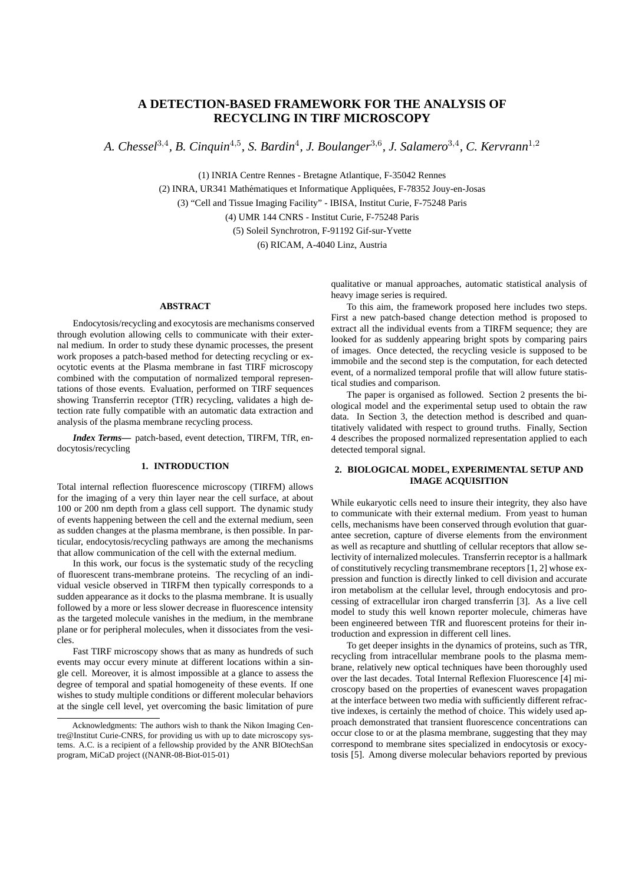# **A DETECTION-BASED FRAMEWORK FOR THE ANALYSIS OF RECYCLING IN TIRF MICROSCOPY**

A. Chessel<sup>3,4</sup>, B. Cinquin<sup>4,5</sup>, S. Bardin<sup>4</sup>, J. Boulanger<sup>3,6</sup>, J. Salamero<sup>3,4</sup>, C. Kervrann<sup>1,2</sup>

(1) INRIA Centre Rennes - Bretagne Atlantique, F-35042 Rennes

(2) INRA, UR341 Mathématiques et Informatique Appliquées, F-78352 Jouy-en-Josas

(3) "Cell and Tissue Imaging Facility" - IBISA, Institut Curie, F-75248 Paris

(4) UMR 144 CNRS - Institut Curie, F-75248 Paris

(5) Soleil Synchrotron, F-91192 Gif-sur-Yvette

(6) RICAM, A-4040 Linz, Austria

# **ABSTRACT**

Endocytosis/recycling and exocytosis are mechanisms conserved through evolution allowing cells to communicate with their external medium. In order to study these dynamic processes, the present work proposes a patch-based method for detecting recycling or exocytotic events at the Plasma membrane in fast TIRF microscopy combined with the computation of normalized temporal representations of those events. Evaluation, performed on TIRF sequences showing Transferrin receptor (TfR) recycling, validates a high detection rate fully compatible with an automatic data extraction and analysis of the plasma membrane recycling process.

*Index Terms***—** patch-based, event detection, TIRFM, TfR, endocytosis/recycling

#### **1. INTRODUCTION**

Total internal reflection fluorescence microscopy (TIRFM) allows for the imaging of a very thin layer near the cell surface, at about 100 or 200 nm depth from a glass cell support. The dynamic study of events happening between the cell and the external medium, seen as sudden changes at the plasma membrane, is then possible. In particular, endocytosis/recycling pathways are among the mechanisms that allow communication of the cell with the external medium.

In this work, our focus is the systematic study of the recycling of fluorescent trans-membrane proteins. The recycling of an individual vesicle observed in TIRFM then typically corresponds to a sudden appearance as it docks to the plasma membrane. It is usually followed by a more or less slower decrease in fluorescence intensity as the targeted molecule vanishes in the medium, in the membrane plane or for peripheral molecules, when it dissociates from the vesicles.

Fast TIRF microscopy shows that as many as hundreds of such events may occur every minute at different locations within a single cell. Moreover, it is almost impossible at a glance to assess the degree of temporal and spatial homogeneity of these events. If one wishes to study multiple conditions or different molecular behaviors at the single cell level, yet overcoming the basic limitation of pure

qualitative or manual approaches, automatic statistical analysis of heavy image series is required.

To this aim, the framework proposed here includes two steps. First a new patch-based change detection method is proposed to extract all the individual events from a TIRFM sequence; they are looked for as suddenly appearing bright spots by comparing pairs of images. Once detected, the recycling vesicle is supposed to be immobile and the second step is the computation, for each detected event, of a normalized temporal profile that will allow future statistical studies and comparison.

The paper is organised as followed. Section 2 presents the biological model and the experimental setup used to obtain the raw data. In Section 3, the detection method is described and quantitatively validated with respect to ground truths. Finally, Section 4 describes the proposed normalized representation applied to each detected temporal signal.

# **2. BIOLOGICAL MODEL, EXPERIMENTAL SETUP AND IMAGE ACQUISITION**

While eukaryotic cells need to insure their integrity, they also have to communicate with their external medium. From yeast to human cells, mechanisms have been conserved through evolution that guarantee secretion, capture of diverse elements from the environment as well as recapture and shuttling of cellular receptors that allow selectivity of internalized molecules. Transferrin receptor is a hallmark of constitutively recycling transmembrane receptors [1, 2] whose expression and function is directly linked to cell division and accurate iron metabolism at the cellular level, through endocytosis and processing of extracellular iron charged transferrin [3]. As a live cell model to study this well known reporter molecule, chimeras have been engineered between TfR and fluorescent proteins for their introduction and expression in different cell lines.

To get deeper insights in the dynamics of proteins, such as TfR, recycling from intracellular membrane pools to the plasma membrane, relatively new optical techniques have been thoroughly used over the last decades. Total Internal Reflexion Fluorescence [4] microscopy based on the properties of evanescent waves propagation at the interface between two media with sufficiently different refractive indexes, is certainly the method of choice. This widely used approach demonstrated that transient fluorescence concentrations can occur close to or at the plasma membrane, suggesting that they may correspond to membrane sites specialized in endocytosis or exocytosis [5]. Among diverse molecular behaviors reported by previous

Acknowledgments: The authors wish to thank the Nikon Imaging Centre@Institut Curie-CNRS, for providing us with up to date microscopy systems. A.C. is a recipient of a fellowship provided by the ANR BIOtechSan program, MiCaD project ((NANR-08-Biot-015-01)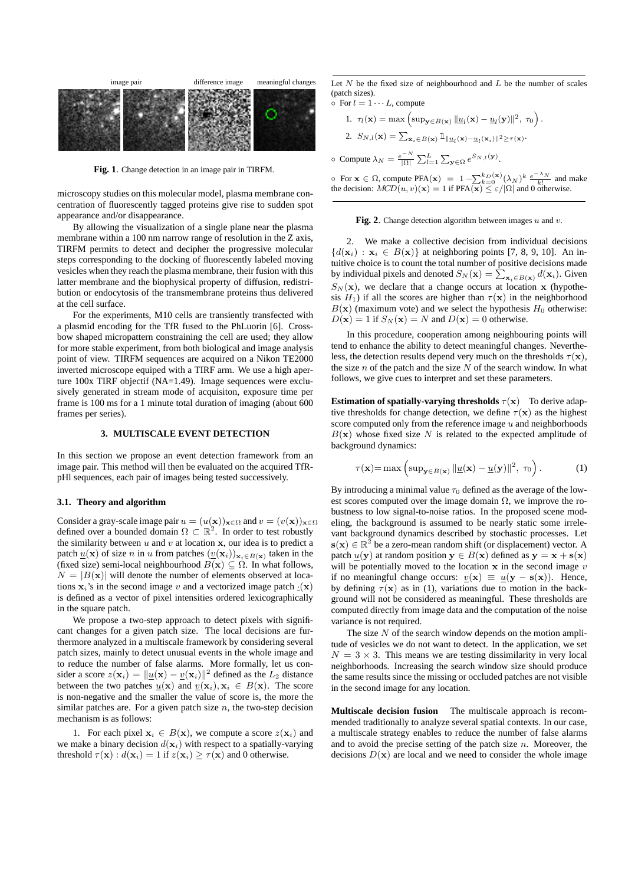

**Fig. 1**. Change detection in an image pair in TIRFM.

microscopy studies on this molecular model, plasma membrane concentration of fluorescently tagged proteins give rise to sudden spot appearance and/or disappearance.

By allowing the visualization of a single plane near the plasma membrane within a 100 nm narrow range of resolution in the Z axis, TIRFM permits to detect and decipher the progressive molecular steps corresponding to the docking of fluorescently labeled moving vesicles when they reach the plasma membrane, their fusion with this latter membrane and the biophysical property of diffusion, redistribution or endocytosis of the transmembrane proteins thus delivered at the cell surface.

For the experiments, M10 cells are transiently transfected with a plasmid encoding for the TfR fused to the PhLuorin [6]. Crossbow shaped micropattern constraining the cell are used; they allow for more stable experiment, from both biological and image analysis point of view. TIRFM sequences are acquired on a Nikon TE2000 inverted microscope equiped with a TIRF arm. We use a high aperture 100x TIRF objectif (NA=1.49). Image sequences were exclusively generated in stream mode of acquisiton, exposure time per frame is 100 ms for a 1 minute total duration of imaging (about 600 frames per series).

## **3. MULTISCALE EVENT DETECTION**

In this section we propose an event detection framework from an image pair. This method will then be evaluated on the acquired TfRpHl sequences, each pair of images being tested successively.

#### **3.1. Theory and algorithm**

Consider a gray-scale image pair  $u = (u(\mathbf{x}))_{\mathbf{x} \in \Omega}$  and  $v = (v(\mathbf{x}))_{\mathbf{x} \in \Omega}$ defined over a bounded domain  $\Omega \subset \mathbb{R}^2$ . In order to test robustly the similarity between  $u$  and  $v$  at location  $x$ , our idea is to predict a patch  $\underline{u}(\mathbf{x})$  of size n in u from patches  $(\underline{v}(\mathbf{x}_i))_{\mathbf{x}_i\in B(\mathbf{x})}$  taken in the (fixed size) semi-local neighbourhood  $B(x) \subseteq \Omega$ . In what follows,  $N = |B(\mathbf{x})|$  will denote the number of elements observed at locations  $x_i$ 's in the second image v and a vectorized image patch  $\cdot(x)$ is defined as a vector of pixel intensities ordered lexicographically in the square patch.

We propose a two-step approach to detect pixels with significant changes for a given patch size. The local decisions are furthermore analyzed in a multiscale framework by considering several patch sizes, mainly to detect unusual events in the whole image and to reduce the number of false alarms. More formally, let us consider a score  $z(\mathbf{x}_i) = ||\underline{u}(\mathbf{x}) - \underline{v}(\mathbf{x}_i)||^2$  defined as the  $L_2$  distance between the two patches  $u(\mathbf{x})$  and  $v(\mathbf{x}_i), \mathbf{x}_i \in B(\mathbf{x})$ . The score is non-negative and the smaller the value of score is, the more the similar patches are. For a given patch size  $n$ , the two-step decision mechanism is as follows:

1. For each pixel  $x_i \in B(x)$ , we compute a score  $z(x_i)$  and we make a binary decision  $d(\mathbf{x}_i)$  with respect to a spatially-varying threshold  $\tau(\mathbf{x}) : d(\mathbf{x}_i) = 1$  if  $z(\mathbf{x}_i) > \tau(\mathbf{x})$  and 0 otherwise.

Let  $N$  be the fixed size of neighbourhood and  $L$  be the number of scales (patch sizes).

 $\circ$  For  $l = 1 \cdots L$ , compute

1. 
$$
\tau_l(\mathbf{x}) = \max \left( \sup_{\mathbf{y} \in B(\mathbf{x})} \|\underline{u}_l(\mathbf{x}) - \underline{u}_l(\mathbf{y})\|^2, \ \tau_0 \right).
$$
  
\n2.  $S_{N,l}(\mathbf{x}) = \sum_{\mathbf{x}_i \in B(\mathbf{x})} \mathbb{1}_{\|\underline{u}_l(\mathbf{x}) - \underline{u}_l(\mathbf{x}_i)\|^2 \ge \tau(\mathbf{x})}.$   
\n $\circ$  Compute  $\lambda_N = \frac{e^{-N}}{|\Omega|} \sum_{l=1}^L \sum_{\mathbf{y} \in \Omega} e^{S_{N,l}(\mathbf{y})}.$ 

ο For **x** ∈ Ω, compute PFA(**x**) = 1 −  $\sum_{k=0}^{k_D(x)}$ (λ<sub>N</sub>)<sup> $k$ </sup>  $\frac{e^{-\lambda}N}{k!}$  and make the decision:  $MCD(u, v)(\mathbf{x}) = 1$  if  $PFA(\mathbf{x}) \le \varepsilon / |\Omega|$  and 0 otherwise.

**Fig. 2**. Change detection algorithm between images u and v.

2. We make a collective decision from individual decisions  ${d(\mathbf{x}_i) : \mathbf{x}_i \in B(\mathbf{x})}$  at neighboring points [7, 8, 9, 10]. An intuitive choice is to count the total number of positive decisions made by individual pixels and denoted  $S_N(\mathbf{x}) = \sum_{\mathbf{x}_i \in B(\mathbf{x})} d(\mathbf{x}_i)$ . Given  $S_N(\mathbf{x})$ , we declare that a change occurs at location x (hypothesis  $H_1$ ) if all the scores are higher than  $\tau(\mathbf{x})$  in the neighborhood  $B(x)$  (maximum vote) and we select the hypothesis  $H_0$  otherwise:  $D(\mathbf{x}) = 1$  if  $S_N(\mathbf{x}) = N$  and  $D(\mathbf{x}) = 0$  otherwise.

In this procedure, cooperation among neighbouring points will tend to enhance the ability to detect meaningful changes. Nevertheless, the detection results depend very much on the thresholds  $\tau(\mathbf{x})$ , the size n of the patch and the size  $N$  of the search window. In what follows, we give cues to interpret and set these parameters.

**Estimation of spatially-varying thresholds**  $\tau(\mathbf{x})$  To derive adaptive thresholds for change detection, we define  $\tau(\mathbf{x})$  as the highest score computed only from the reference image  $u$  and neighborhoods  $B(x)$  whose fixed size N is related to the expected amplitude of background dynamics:

$$
\tau(\mathbf{x}) = \max\left(\sup_{\mathbf{y} \in B(\mathbf{x})} \|\underline{u}(\mathbf{x}) - \underline{u}(\mathbf{y})\|^2, \ \tau_0\right). \tag{1}
$$

By introducing a minimal value  $\tau_0$  defined as the average of the lowest scores computed over the image domain  $\Omega$ , we improve the robustness to low signal-to-noise ratios. In the proposed scene modeling, the background is assumed to be nearly static some irrelevant background dynamics described by stochastic processes. Let  $s(x) \in \mathbb{R}^2$  be a zero-mean random shift (or displacement) vector. A patch  $\underline{u}(\mathbf{y})$  at random position  $\mathbf{y} \in B(\mathbf{x})$  defined as  $\mathbf{y} = \mathbf{x} + \mathbf{s}(\mathbf{x})$ will be potentially moved to the location  $x$  in the second image  $v$ if no meaningful change occurs:  $v(\mathbf{x}) \equiv u(\mathbf{y} - \mathbf{s}(\mathbf{x}))$ . Hence, by defining  $\tau(\mathbf{x})$  as in (1), variations due to motion in the background will not be considered as meaningful. These thresholds are computed directly from image data and the computation of the noise variance is not required.

The size  $N$  of the search window depends on the motion amplitude of vesicles we do not want to detect. In the application, we set  $N = 3 \times 3$ . This means we are testing dissimilarity in very local neighborhoods. Increasing the search window size should produce the same results since the missing or occluded patches are not visible in the second image for any location.

**Multiscale decision fusion** The multiscale approach is recommended traditionally to analyze several spatial contexts. In our case, a multiscale strategy enables to reduce the number of false alarms and to avoid the precise setting of the patch size  $n$ . Moreover, the decisions  $D(x)$  are local and we need to consider the whole image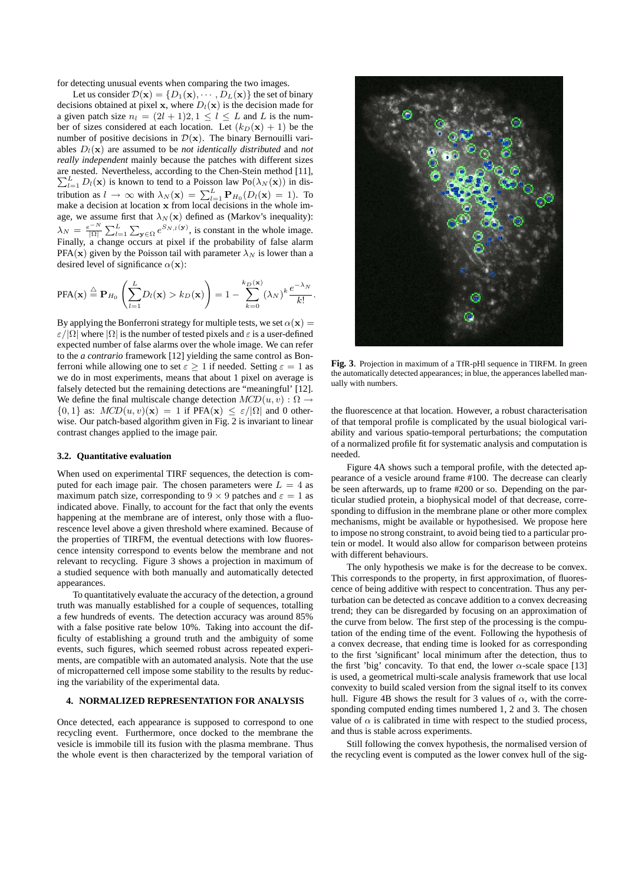for detecting unusual events when comparing the two images.

Let us consider  $\mathcal{D}(\mathbf{x}) = \{D_1(\mathbf{x}), \cdots, D_L(\mathbf{x})\}$  the set of binary decisions obtained at pixel x, where  $D_l(x)$  is the decision made for a given patch size  $n_l = (2l + 1)2, 1 \le l \le L$  and L is the number of sizes considered at each location. Let  $(k_D(\mathbf{x}) + 1)$  be the number of positive decisions in  $\mathcal{D}(\mathbf{x})$ . The binary Bernouilli variables  $D_l(\mathbf{x})$  are assumed to be *not identically distributed* and *not really independent* mainly because the patches with different sizes are nested. Nevertheless, according to the Chen-Stein method [11],  $\sum_{l=1}^{L} D_l(\mathbf{x})$  is known to tend to a Poisson law Po( $\lambda_N(\mathbf{x})$ ) in distribution as  $l \to \infty$  with  $\lambda_N(\mathbf{x}) = \sum_{l=1}^L \mathbf{P}_{H_0}(D_l(\mathbf{x}) = 1)$ . To make a decision at location x from local decisions in the whole image, we assume first that  $\lambda_N(\mathbf{x})$  defined as (Markov's inequality):  $\lambda_N = \frac{e^{-N}}{|\Omega|} \sum_{l=1}^L \sum_{\mathbf{y} \in \Omega} e^{S_{N,l}(\mathbf{y})}$ , is constant in the whole image. Finally, a change occurs at pixel if the probability of false alarm PFA(x) given by the Poisson tail with parameter  $\lambda_N$  is lower than a desired level of significance  $\alpha(\mathbf{x})$ :

$$
PFA(\mathbf{x}) \stackrel{\triangle}{=} \mathbf{P}_{H_0}\left(\sum_{l=1}^L D_l(\mathbf{x}) > k_D(\mathbf{x})\right) = 1 - \sum_{k=0}^{k_D(\mathbf{x})} (\lambda_N)^k \frac{e^{-\lambda_N}}{k!}.
$$

By applying the Bonferroni strategy for multiple tests, we set  $\alpha(\mathbf{x}) =$  $\varepsilon/|\Omega|$  where  $|\Omega|$  is the number of tested pixels and  $\varepsilon$  is a user-defined expected number of false alarms over the whole image. We can refer to the *a contrario* framework [12] yielding the same control as Bonferroni while allowing one to set  $\varepsilon \geq 1$  if needed. Setting  $\varepsilon = 1$  as we do in most experiments, means that about 1 pixel on average is falsely detected but the remaining detections are "meaningful' [12]. We define the final multiscale change detection  $MCD(u, v) : \Omega \rightarrow$  $\{0, 1\}$  as:  $MCD(u, v)(\mathbf{x}) = 1$  if PFA $(\mathbf{x}) \leq \varepsilon/|\Omega|$  and 0 otherwise. Our patch-based algorithm given in Fig. 2 is invariant to linear contrast changes applied to the image pair.

#### **3.2. Quantitative evaluation**

When used on experimental TIRF sequences, the detection is computed for each image pair. The chosen parameters were  $L = 4$  as maximum patch size, corresponding to 9  $\times$  9 patches and  $\varepsilon = 1$  as indicated above. Finally, to account for the fact that only the events happening at the membrane are of interest, only those with a fluorescence level above a given threshold where examined. Because of the properties of TIRFM, the eventual detections with low fluorescence intensity correspond to events below the membrane and not relevant to recycling. Figure 3 shows a projection in maximum of a studied sequence with both manually and automatically detected appearances.

To quantitatively evaluate the accuracy of the detection, a ground truth was manually established for a couple of sequences, totalling a few hundreds of events. The detection accuracy was around 85% with a false positive rate below 10%. Taking into account the difficulty of establishing a ground truth and the ambiguity of some events, such figures, which seemed robust across repeated experiments, are compatible with an automated analysis. Note that the use of micropatterned cell impose some stability to the results by reducing the variability of the experimental data.

## **4. NORMALIZED REPRESENTATION FOR ANALYSIS**

Once detected, each appearance is supposed to correspond to one recycling event. Furthermore, once docked to the membrane the vesicle is immobile till its fusion with the plasma membrane. Thus the whole event is then characterized by the temporal variation of



**Fig. 3**. Projection in maximum of a TfR-pHl sequence in TIRFM. In green the automatically detected appearances; in blue, the apperances labelled manually with numbers.

the fluorescence at that location. However, a robust characterisation of that temporal profile is complicated by the usual biological variability and various spatio-temporal perturbations; the computation of a normalized profile fit for systematic analysis and computation is needed.

Figure 4A shows such a temporal profile, with the detected appearance of a vesicle around frame #100. The decrease can clearly be seen afterwards, up to frame #200 or so. Depending on the particular studied protein, a biophysical model of that decrease, corresponding to diffusion in the membrane plane or other more complex mechanisms, might be available or hypothesised. We propose here to impose no strong constraint, to avoid being tied to a particular protein or model. It would also allow for comparison between proteins with different behaviours.

The only hypothesis we make is for the decrease to be convex. This corresponds to the property, in first approximation, of fluorescence of being additive with respect to concentration. Thus any perturbation can be detected as concave addition to a convex decreasing trend; they can be disregarded by focusing on an approximation of the curve from below. The first step of the processing is the computation of the ending time of the event. Following the hypothesis of a convex decrease, that ending time is looked for as corresponding to the first 'significant' local minimum after the detection, thus to the first 'big' concavity. To that end, the lower  $\alpha$ -scale space [13] is used, a geometrical multi-scale analysis framework that use local convexity to build scaled version from the signal itself to its convex hull. Figure 4B shows the result for 3 values of  $\alpha$ , with the corresponding computed ending times numbered 1, 2 and 3. The chosen value of  $\alpha$  is calibrated in time with respect to the studied process, and thus is stable across experiments.

Still following the convex hypothesis, the normalised version of the recycling event is computed as the lower convex hull of the sig-